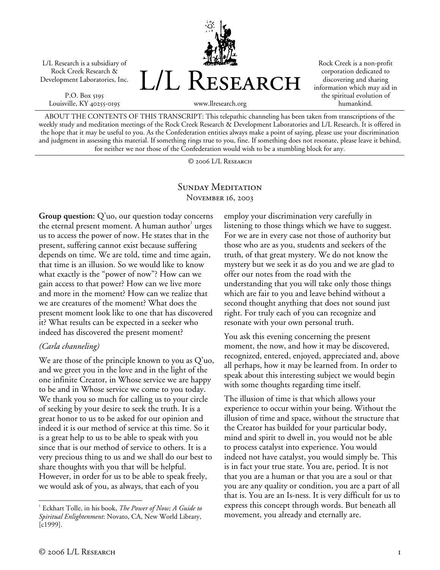L/L Research is a subsidiary of Rock Creek Research & Development Laboratories, Inc.

P.O. Box 5195 Louisville, KY 40255-0195



Rock Creek is a non-profit corporation dedicated to discovering and sharing information which may aid in the spiritual evolution of humankind.

ABOUT THE CONTENTS OF THIS TRANSCRIPT: This telepathic channeling has been taken from transcriptions of the weekly study and meditation meetings of the Rock Creek Research & Development Laboratories and L/L Research. It is offered in the hope that it may be useful to you. As the Confederation entities always make a point of saying, please use your discrimination and judgment in assessing this material. If something rings true to you, fine. If something does not resonate, please leave it behind, for neither we nor those of the Confederation would wish to be a stumbling block for any.

© 2006 L/L Research

## SUNDAY MEDITATION November 16, 2003

**Group question:** Q'uo, our question today concerns the eternal present moment. A human author  $^1$  urges us to access the power of now. He states that in the present, suffering cannot exist because suffering depends on time. We are told, time and time again, that time is an illusion. So we would like to know what exactly is the "power of now"? How can we gain access to that power? How can we live more and more in the moment? How can we realize that we are creatures of the moment? What does the present moment look like to one that has discovered it? What results can be expected in a seeker who indeed has discovered the present moment?

## *(Carla channeling)*

We are those of the principle known to you as Q'uo, and we greet you in the love and in the light of the one infinite Creator, in Whose service we are happy to be and in Whose service we come to you today. We thank you so much for calling us to your circle of seeking by your desire to seek the truth. It is a great honor to us to be asked for our opinion and indeed it is our method of service at this time. So it is a great help to us to be able to speak with you since that is our method of service to others. It is a very precious thing to us and we shall do our best to share thoughts with you that will be helpful. However, in order for us to be able to speak freely, we would ask of you, as always, that each of you

employ your discrimination very carefully in listening to those things which we have to suggest. For we are in every case not those of authority but those who are as you, students and seekers of the truth, of that great mystery. We do not know the mystery but we seek it as do you and we are glad to offer our notes from the road with the understanding that you will take only those things which are fair to you and leave behind without a second thought anything that does not sound just right. For truly each of you can recognize and resonate with your own personal truth.

You ask this evening concerning the present moment, the now, and how it may be discovered, recognized, entered, enjoyed, appreciated and, above all perhaps, how it may be learned from. In order to speak about this interesting subject we would begin with some thoughts regarding time itself.

The illusion of time is that which allows your experience to occur within your being. Without the illusion of time and space, without the structure that the Creator has builded for your particular body, mind and spirit to dwell in, you would not be able to process catalyst into experience. You would indeed not have catalyst, you would simply be. This is in fact your true state. You are, period. It is not that you are a human or that you are a soul or that you are any quality or condition, you are a part of all that is. You are an Is-ness. It is very difficult for us to express this concept through words. But beneath all movement, you already and eternally are.

 $\overline{a}$ 1 Eckhart Tolle, in his book, *The Power of Now; A Guide to Spiritual Enlightenment*: Novato, CA, New World Library, [c1999].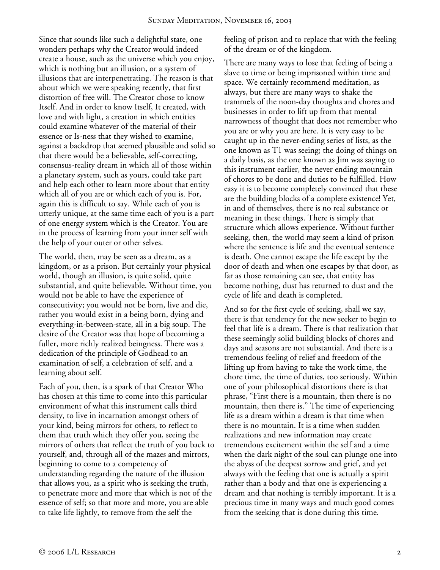Since that sounds like such a delightful state, one wonders perhaps why the Creator would indeed create a house, such as the universe which you enjoy, which is nothing but an illusion, or a system of illusions that are interpenetrating. The reason is that about which we were speaking recently, that first distortion of free will. The Creator chose to know Itself. And in order to know Itself, It created, with love and with light, a creation in which entities could examine whatever of the material of their essence or Is-ness that they wished to examine, against a backdrop that seemed plausible and solid so that there would be a believable, self-correcting, consensus-reality dream in which all of those within a planetary system, such as yours, could take part and help each other to learn more about that entity which all of you are or which each of you is. For, again this is difficult to say. While each of you is utterly unique, at the same time each of you is a part of one energy system which is the Creator. You are in the process of learning from your inner self with the help of your outer or other selves.

The world, then, may be seen as a dream, as a kingdom, or as a prison. But certainly your physical world, though an illusion, is quite solid, quite substantial, and quite believable. Without time, you would not be able to have the experience of consecutivity; you would not be born, live and die, rather you would exist in a being born, dying and everything-in-between-state, all in a big soup. The desire of the Creator was that hope of becoming a fuller, more richly realized beingness. There was a dedication of the principle of Godhead to an examination of self, a celebration of self, and a learning about self.

Each of you, then, is a spark of that Creator Who has chosen at this time to come into this particular environment of what this instrument calls third density, to live in incarnation amongst others of your kind, being mirrors for others, to reflect to them that truth which they offer you, seeing the mirrors of others that reflect the truth of you back to yourself, and, through all of the mazes and mirrors, beginning to come to a competency of understanding regarding the nature of the illusion that allows you, as a spirit who is seeking the truth, to penetrate more and more that which is not of the essence of self; so that more and more, you are able to take life lightly, to remove from the self the

feeling of prison and to replace that with the feeling of the dream or of the kingdom.

There are many ways to lose that feeling of being a slave to time or being imprisoned within time and space. We certainly recommend meditation, as always, but there are many ways to shake the trammels of the noon-day thoughts and chores and businesses in order to lift up from that mental narrowness of thought that does not remember who you are or why you are here. It is very easy to be caught up in the never-ending series of lists, as the one known as T1 was seeing; the doing of things on a daily basis, as the one known as Jim was saying to this instrument earlier, the never ending mountain of chores to be done and duties to be fulfilled. How easy it is to become completely convinced that these are the building blocks of a complete existence! Yet, in and of themselves, there is no real substance or meaning in these things. There is simply that structure which allows experience. Without further seeking, then, the world may seem a kind of prison where the sentence is life and the eventual sentence is death. One cannot escape the life except by the door of death and when one escapes by that door, as far as those remaining can see, that entity has become nothing, dust has returned to dust and the cycle of life and death is completed.

And so for the first cycle of seeking, shall we say, there is that tendency for the new seeker to begin to feel that life is a dream. There is that realization that these seemingly solid building blocks of chores and days and seasons are not substantial. And there is a tremendous feeling of relief and freedom of the lifting up from having to take the work time, the chore time, the time of duties, too seriously. Within one of your philosophical distortions there is that phrase, "First there is a mountain, then there is no mountain, then there is." The time of experiencing life as a dream within a dream is that time when there is no mountain. It is a time when sudden realizations and new information may create tremendous excitement within the self and a time when the dark night of the soul can plunge one into the abyss of the deepest sorrow and grief, and yet always with the feeling that one is actually a spirit rather than a body and that one is experiencing a dream and that nothing is terribly important. It is a precious time in many ways and much good comes from the seeking that is done during this time.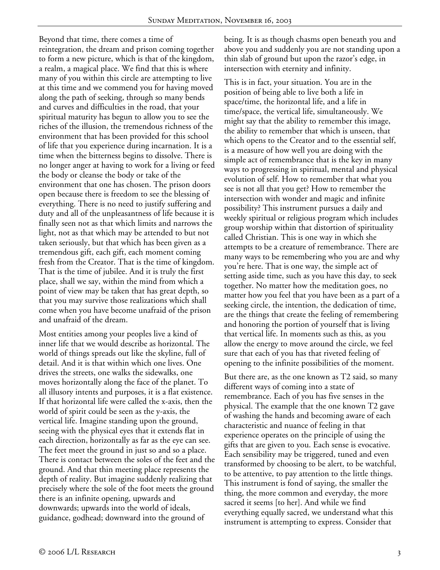Beyond that time, there comes a time of reintegration, the dream and prison coming together to form a new picture, which is that of the kingdom, a realm, a magical place. We find that this is where many of you within this circle are attempting to live at this time and we commend you for having moved along the path of seeking, through so many bends and curves and difficulties in the road, that your spiritual maturity has begun to allow you to see the riches of the illusion, the tremendous richness of the environment that has been provided for this school of life that you experience during incarnation. It is a time when the bitterness begins to dissolve. There is no longer anger at having to work for a living or feed the body or cleanse the body or take of the environment that one has chosen. The prison doors open because there is freedom to see the blessing of everything. There is no need to justify suffering and duty and all of the unpleasantness of life because it is finally seen not as that which limits and narrows the light, not as that which may be attended to but not taken seriously, but that which has been given as a tremendous gift, each gift, each moment coming fresh from the Creator. That is the time of kingdom. That is the time of jubilee. And it is truly the first place, shall we say, within the mind from which a point of view may be taken that has great depth, so that you may survive those realizations which shall come when you have become unafraid of the prison and unafraid of the dream.

Most entities among your peoples live a kind of inner life that we would describe as horizontal. The world of things spreads out like the skyline, full of detail. And it is that within which one lives. One drives the streets, one walks the sidewalks, one moves horizontally along the face of the planet. To all illusory intents and purposes, it is a flat existence. If that horizontal life were called the x-axis, then the world of spirit could be seen as the y-axis, the vertical life. Imagine standing upon the ground, seeing with the physical eyes that it extends flat in each direction, horizontally as far as the eye can see. The feet meet the ground in just so and so a place. There is contact between the soles of the feet and the ground. And that thin meeting place represents the depth of reality. But imagine suddenly realizing that precisely where the sole of the foot meets the ground there is an infinite opening, upwards and downwards; upwards into the world of ideals, guidance, godhead; downward into the ground of

being. It is as though chasms open beneath you and above you and suddenly you are not standing upon a thin slab of ground but upon the razor's edge, in intersection with eternity and infinity.

This is in fact, your situation. You are in the position of being able to live both a life in space/time, the horizontal life, and a life in time/space, the vertical life, simultaneously. We might say that the ability to remember this image, the ability to remember that which is unseen, that which opens to the Creator and to the essential self, is a measure of how well you are doing with the simple act of remembrance that is the key in many ways to progressing in spiritual, mental and physical evolution of self. How to remember that what you see is not all that you get? How to remember the intersection with wonder and magic and infinite possibility? This instrument pursues a daily and weekly spiritual or religious program which includes group worship within that distortion of spirituality called Christian. This is one way in which she attempts to be a creature of remembrance. There are many ways to be remembering who you are and why you're here. That is one way, the simple act of setting aside time, such as you have this day, to seek together. No matter how the meditation goes, no matter how you feel that you have been as a part of a seeking circle, the intention, the dedication of time, are the things that create the feeling of remembering and honoring the portion of yourself that is living that vertical life. In moments such as this, as you allow the energy to move around the circle, we feel sure that each of you has that riveted feeling of opening to the infinite possibilities of the moment.

But there are, as the one known as T2 said, so many different ways of coming into a state of remembrance. Each of you has five senses in the physical. The example that the one known T2 gave of washing the hands and becoming aware of each characteristic and nuance of feeling in that experience operates on the principle of using the gifts that are given to you. Each sense is evocative. Each sensibility may be triggered, tuned and even transformed by choosing to be alert, to be watchful, to be attentive, to pay attention to the little things. This instrument is fond of saying, the smaller the thing, the more common and everyday, the more sacred it seems [to her]. And while we find everything equally sacred, we understand what this instrument is attempting to express. Consider that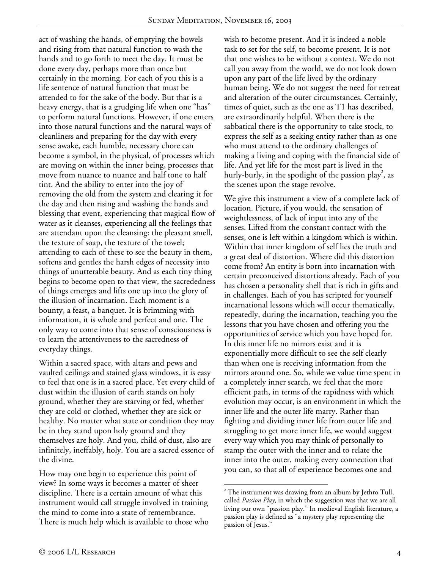act of washing the hands, of emptying the bowels and rising from that natural function to wash the hands and to go forth to meet the day. It must be done every day, perhaps more than once but certainly in the morning. For each of you this is a life sentence of natural function that must be attended to for the sake of the body. But that is a heavy energy, that is a grudging life when one "has" to perform natural functions. However, if one enters into those natural functions and the natural ways of cleanliness and preparing for the day with every sense awake, each humble, necessary chore can become a symbol, in the physical, of processes which are moving on within the inner being, processes that move from nuance to nuance and half tone to half tint. And the ability to enter into the joy of removing the old from the system and clearing it for the day and then rising and washing the hands and blessing that event, experiencing that magical flow of water as it cleanses, experiencing all the feelings that are attendant upon the cleansing: the pleasant smell, the texture of soap, the texture of the towel; attending to each of these to see the beauty in them, softens and gentles the harsh edges of necessity into things of unutterable beauty. And as each tiny thing begins to become open to that view, the sacrededness of things emerges and lifts one up into the glory of the illusion of incarnation. Each moment is a bounty, a feast, a banquet. It is brimming with information, it is whole and perfect and one. The only way to come into that sense of consciousness is to learn the attentiveness to the sacredness of everyday things.

Within a sacred space, with altars and pews and vaulted ceilings and stained glass windows, it is easy to feel that one is in a sacred place. Yet every child of dust within the illusion of earth stands on holy ground, whether they are starving or fed, whether they are cold or clothed, whether they are sick or healthy. No matter what state or condition they may be in they stand upon holy ground and they themselves are holy. And you, child of dust, also are infinitely, ineffably, holy. You are a sacred essence of the divine.

How may one begin to experience this point of view? In some ways it becomes a matter of sheer discipline. There is a certain amount of what this instrument would call struggle involved in training the mind to come into a state of remembrance. There is much help which is available to those who wish to become present. And it is indeed a noble task to set for the self, to become present. It is not that one wishes to be without a context. We do not call you away from the world, we do not look down upon any part of the life lived by the ordinary human being. We do not suggest the need for retreat and alteration of the outer circumstances. Certainly, times of quiet, such as the one as T1 has described, are extraordinarily helpful. When there is the sabbatical there is the opportunity to take stock, to express the self as a seeking entity rather than as one who must attend to the ordinary challenges of making a living and coping with the financial side of life. And yet life for the most part is lived in the hurly-burly, in the spotlight of the passion play<sup>2</sup>, as the scenes upon the stage revolve.

We give this instrument a view of a complete lack of location. Picture, if you would, the sensation of weightlessness, of lack of input into any of the senses. Lifted from the constant contact with the senses, one is left within a kingdom which is within. Within that inner kingdom of self lies the truth and a great deal of distortion. Where did this distortion come from? An entity is born into incarnation with certain preconceived distortions already. Each of you has chosen a personality shell that is rich in gifts and in challenges. Each of you has scripted for yourself incarnational lessons which will occur thematically, repeatedly, during the incarnation, teaching you the lessons that you have chosen and offering you the opportunities of service which you have hoped for. In this inner life no mirrors exist and it is exponentially more difficult to see the self clearly than when one is receiving information from the mirrors around one. So, while we value time spent in a completely inner search, we feel that the more efficient path, in terms of the rapidness with which evolution may occur, is an environment in which the inner life and the outer life marry. Rather than fighting and dividing inner life from outer life and struggling to get more inner life, we would suggest every way which you may think of personally to stamp the outer with the inner and to relate the inner into the outer, making every connection that you can, so that all of experience becomes one and

 $\overline{a}$  $2^2$  The instrument was drawing from an album by Jethro Tull, called *Passion Play*, in which the suggestion was that we are all living our own "passion play." In medieval English literature, a passion play is defined as "a mystery play representing the passion of Jesus."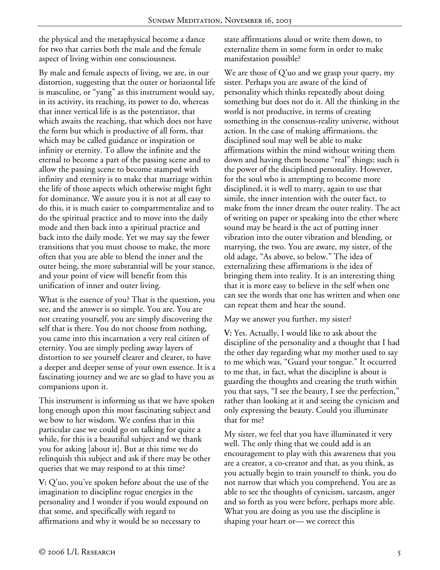the physical and the metaphysical become a dance for two that carries both the male and the female aspect of living within one consciousness.

By male and female aspects of living, we are, in our distortion, suggesting that the outer or horizontal life is masculine, or "yang" as this instrument would say, in its activity, its reaching, its power to do, whereas that inner vertical life is as the potentiator, that which awaits the reaching, that which does not have the form but which is productive of all form, that which may be called guidance or inspiration or infinity or eternity. To allow the infinite and the eternal to become a part of the passing scene and to allow the passing scene to become stamped with infinity and eternity is to make that marriage within the life of those aspects which otherwise might fight for dominance. We assure you it is not at all easy to do this, it is much easier to compartmentalize and to do the spiritual practice and to move into the daily mode and then back into a spiritual practice and back into the daily mode. Yet we may say the fewer transitions that you must choose to make, the more often that you are able to blend the inner and the outer being, the more substantial will be your stance, and your point of view will benefit from this unification of inner and outer living.

What is the essence of you? That is the question, you see, and the answer is so simple. You are. You are not creating yourself, you are simply discovering the self that is there. You do not choose from nothing, you came into this incarnation a very real citizen of eternity. You are simply peeling away layers of distortion to see yourself clearer and clearer, to have a deeper and deeper sense of your own essence. It is a fascinating journey and we are so glad to have you as companions upon it.

This instrument is informing us that we have spoken long enough upon this most fascinating subject and we bow to her wisdom. We confess that in this particular case we could go on talking for quite a while, for this is a beautiful subject and we thank you for asking [about it]. But at this time we do relinquish this subject and ask if there may be other queries that we may respond to at this time?

**V:** Q'uo, you've spoken before about the use of the imagination to discipline rogue energies in the personality and I wonder if you would expound on that some, and specifically with regard to affirmations and why it would be so necessary to

state affirmations aloud or write them down, to externalize them in some form in order to make manifestation possible?

We are those of Q'uo and we grasp your query, my sister. Perhaps you are aware of the kind of personality which thinks repeatedly about doing something but does not do it. All the thinking in the world is not productive, in terms of creating something in the consensus-reality universe, without action. In the case of making affirmations, the disciplined soul may well be able to make affirmations within the mind without writing them down and having them become "real" things; such is the power of the disciplined personality. However, for the soul who is attempting to become more disciplined, it is well to marry, again to use that simile, the inner intention with the outer fact, to make from the inner dream the outer reality. The act of writing on paper or speaking into the ether where sound may be heard is the act of putting inner vibration into the outer vibration and blending, or marrying, the two. You are aware, my sister, of the old adage, "As above, so below." The idea of externalizing these affirmations is the idea of bringing them into reality. It is an interesting thing that it is more easy to believe in the self when one can see the words that one has written and when one can repeat them and hear the sound.

## May we answer you further, my sister?

**V:** Yes. Actually, I would like to ask about the discipline of the personality and a thought that I had the other day regarding what my mother used to say to me which was, "Guard your tongue." It occurred to me that, in fact, what the discipline is about is guarding the thoughts and creating the truth within you that says, "I see the beauty, I see the perfection," rather than looking at it and seeing the cynicism and only expressing the beauty. Could you illuminate that for me?

My sister, we feel that you have illuminated it very well. The only thing that we could add is an encouragement to play with this awareness that you are a creator, a co-creator and that, as you think, as you actually begin to train yourself to think, you do not narrow that which you comprehend. You are as able to see the thoughts of cynicism, sarcasm, anger and so forth as you were before, perhaps more able. What you are doing as you use the discipline is shaping your heart or— we correct this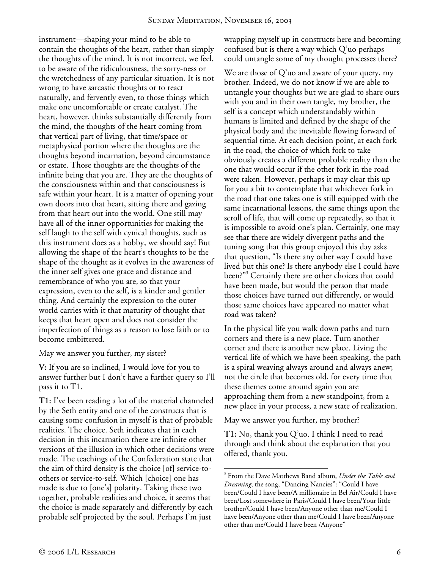instrument—shaping your mind to be able to contain the thoughts of the heart, rather than simply the thoughts of the mind. It is not incorrect, we feel, to be aware of the ridiculousness, the sorry-ness or the wretchedness of any particular situation. It is not wrong to have sarcastic thoughts or to react naturally, and fervently even, to those things which make one uncomfortable or create catalyst. The heart, however, thinks substantially differently from the mind, the thoughts of the heart coming from that vertical part of living, that time/space or metaphysical portion where the thoughts are the thoughts beyond incarnation, beyond circumstance or estate. Those thoughts are the thoughts of the infinite being that you are. They are the thoughts of the consciousness within and that consciousness is safe within your heart. It is a matter of opening your own doors into that heart, sitting there and gazing from that heart out into the world. One still may have all of the inner opportunities for making the self laugh to the self with cynical thoughts, such as this instrument does as a hobby, we should say! But allowing the shape of the heart's thoughts to be the shape of the thought as it evolves in the awareness of the inner self gives one grace and distance and remembrance of who you are, so that your expression, even to the self, is a kinder and gentler thing. And certainly the expression to the outer world carries with it that maturity of thought that keeps that heart open and does not consider the imperfection of things as a reason to lose faith or to become embittered.

May we answer you further, my sister?

**V:** If you are so inclined, I would love for you to answer further but I don't have a further query so I'll pass it to T1.

**T1:** I've been reading a lot of the material channeled by the Seth entity and one of the constructs that is causing some confusion in myself is that of probable realities. The choice. Seth indicates that in each decision in this incarnation there are infinite other versions of the illusion in which other decisions were made. The teachings of the Confederation state that the aim of third density is the choice [of] service-toothers or service-to-self. Which [choice] one has made is due to [one's] polarity. Taking these two together, probable realities and choice, it seems that the choice is made separately and differently by each probable self projected by the soul. Perhaps I'm just

wrapping myself up in constructs here and becoming confused but is there a way which Q'uo perhaps could untangle some of my thought processes there?

We are those of Q'uo and aware of your query, my brother. Indeed, we do not know if we are able to untangle your thoughts but we are glad to share ours with you and in their own tangle, my brother, the self is a concept which understandably within humans is limited and defined by the shape of the physical body and the inevitable flowing forward of sequential time. At each decision point, at each fork in the road, the choice of which fork to take obviously creates a different probable reality than the one that would occur if the other fork in the road were taken. However, perhaps it may clear this up for you a bit to contemplate that whichever fork in the road that one takes one is still equipped with the same incarnational lessons, the same things upon the scroll of life, that will come up repeatedly, so that it is impossible to avoid one's plan. Certainly, one may see that there are widely divergent paths and the tuning song that this group enjoyed this day asks that question, "Is there any other way I could have lived but this one? Is there anybody else I could have been?"<sup>3</sup> Certainly there are other choices that could have been made, but would the person that made those choices have turned out differently, or would those same choices have appeared no matter what road was taken?

In the physical life you walk down paths and turn corners and there is a new place. Turn another corner and there is another new place. Living the vertical life of which we have been speaking, the path is a spiral weaving always around and always anew; not the circle that becomes old, for every time that these themes come around again you are approaching them from a new standpoint, from a new place in your process, a new state of realization.

May we answer you further, my brother?

1

**T1:** No, thank you Q'uo. I think I need to read through and think about the explanation that you offered, thank you.

<sup>3</sup> From the Dave Matthews Band album, *Under the Table and Dreaming*, the song, "Dancing Nancies": "Could I have been/Could I have been/A millionaire in Bel Air/Could I have been/Lost somewhere in Paris/Could I have been/Your little brother/Could I have been/Anyone other than me/Could I have been/Anyone other than me/Could I have been/Anyone other than me/Could I have been /Anyone"